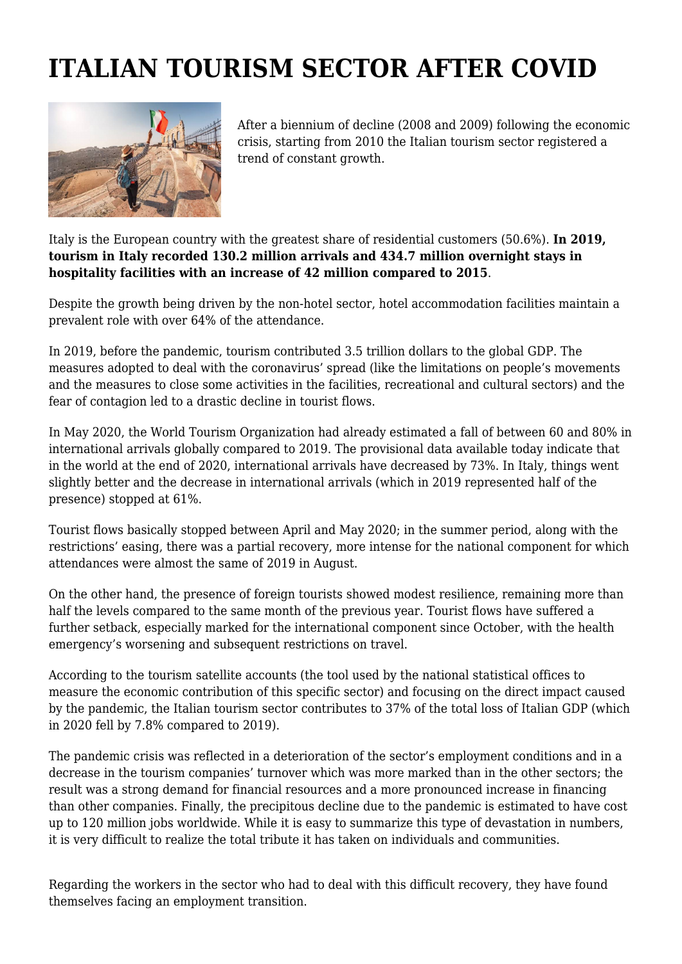## **ITALIAN TOURISM SECTOR AFTER COVID**



After a biennium of decline (2008 and 2009) following the economic crisis, starting from 2010 the Italian tourism sector registered a trend of constant growth.

Italy is the European country with the greatest share of residential customers (50.6%). **In 2019, tourism in Italy recorded 130.2 million arrivals and 434.7 million overnight stays in hospitality facilities with an increase of 42 million compared to 2015**.

Despite the growth being driven by the non-hotel sector, hotel accommodation facilities maintain a prevalent role with over 64% of the attendance.

In 2019, before the pandemic, tourism contributed 3.5 trillion dollars to the global GDP. The measures adopted to deal with the coronavirus' spread (like the limitations on people's movements and the measures to close some activities in the facilities, recreational and cultural sectors) and the fear of contagion led to a drastic decline in tourist flows.

In May 2020, the World Tourism Organization had already estimated a fall of between 60 and 80% in international arrivals globally compared to 2019. The provisional data available today indicate that in the world at the end of 2020, international arrivals have decreased by 73%. In Italy, things went slightly better and the decrease in international arrivals (which in 2019 represented half of the presence) stopped at 61%.

Tourist flows basically stopped between April and May 2020; in the summer period, along with the restrictions' easing, there was a partial recovery, more intense for the national component for which attendances were almost the same of 2019 in August.

On the other hand, the presence of foreign tourists showed modest resilience, remaining more than half the levels compared to the same month of the previous year. Tourist flows have suffered a further setback, especially marked for the international component since October, with the health emergency's worsening and subsequent restrictions on travel.

According to the tourism satellite accounts (the tool used by the national statistical offices to measure the economic contribution of this specific sector) and focusing on the direct impact caused by the pandemic, the Italian tourism sector contributes to 37% of the total loss of Italian GDP (which in 2020 fell by 7.8% compared to 2019).

The pandemic crisis was reflected in a deterioration of the sector's employment conditions and in a decrease in the tourism companies' turnover which was more marked than in the other sectors; the result was a strong demand for financial resources and a more pronounced increase in financing than other companies. Finally, the precipitous decline due to the pandemic is estimated to have cost up to 120 million jobs worldwide. While it is easy to summarize this type of devastation in numbers, it is very difficult to realize the total tribute it has taken on individuals and communities.

Regarding the workers in the sector who had to deal with this difficult recovery, they have found themselves facing an employment transition.